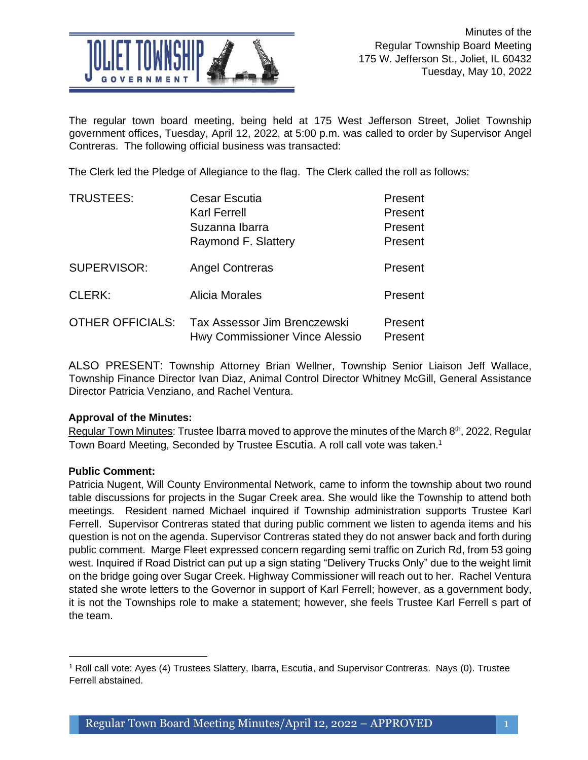

The regular town board meeting, being held at 175 West Jefferson Street, Joliet Township government offices, Tuesday, April 12, 2022, at 5:00 p.m. was called to order by Supervisor Angel Contreras. The following official business was transacted:

The Clerk led the Pledge of Allegiance to the flag. The Clerk called the roll as follows:

| <b>TRUSTEES:</b>        | <b>Cesar Escutia</b>                                           | Present            |
|-------------------------|----------------------------------------------------------------|--------------------|
|                         | <b>Karl Ferrell</b>                                            | Present            |
|                         | Suzanna Ibarra                                                 | Present            |
|                         | Raymond F. Slattery                                            | Present            |
| SUPERVISOR:             | <b>Angel Contreras</b>                                         | Present            |
| <b>CLERK:</b>           | Alicia Morales                                                 | Present            |
| <b>OTHER OFFICIALS:</b> | Tax Assessor Jim Brenczewski<br>Hwy Commissioner Vince Alessio | Present<br>Present |

ALSO PRESENT: Township Attorney Brian Wellner, Township Senior Liaison Jeff Wallace, Township Finance Director Ivan Diaz, Animal Control Director Whitney McGill, General Assistance Director Patricia Venziano, and Rachel Ventura.

# **Approval of the Minutes:**

Regular Town Minutes: Trustee Ibarra moved to approve the minutes of the March 8<sup>th</sup>, 2022, Regular Town Board Meeting, Seconded by Trustee Escutia. A roll call vote was taken.<sup>1</sup>

# **Public Comment:**

Patricia Nugent, Will County Environmental Network, came to inform the township about two round table discussions for projects in the Sugar Creek area. She would like the Township to attend both meetings. Resident named Michael inquired if Township administration supports Trustee Karl Ferrell. Supervisor Contreras stated that during public comment we listen to agenda items and his question is not on the agenda. Supervisor Contreras stated they do not answer back and forth during public comment. Marge Fleet expressed concern regarding semi traffic on Zurich Rd, from 53 going west. Inquired if Road District can put up a sign stating "Delivery Trucks Only" due to the weight limit on the bridge going over Sugar Creek. Highway Commissioner will reach out to her. Rachel Ventura stated she wrote letters to the Governor in support of Karl Ferrell; however, as a government body, it is not the Townships role to make a statement; however, she feels Trustee Karl Ferrell s part of the team.

<sup>&</sup>lt;sup>1</sup> Roll call vote: Ayes (4) Trustees Slattery, Ibarra, Escutia, and Supervisor Contreras. Nays (0). Trustee<br>-Ferrell abstained.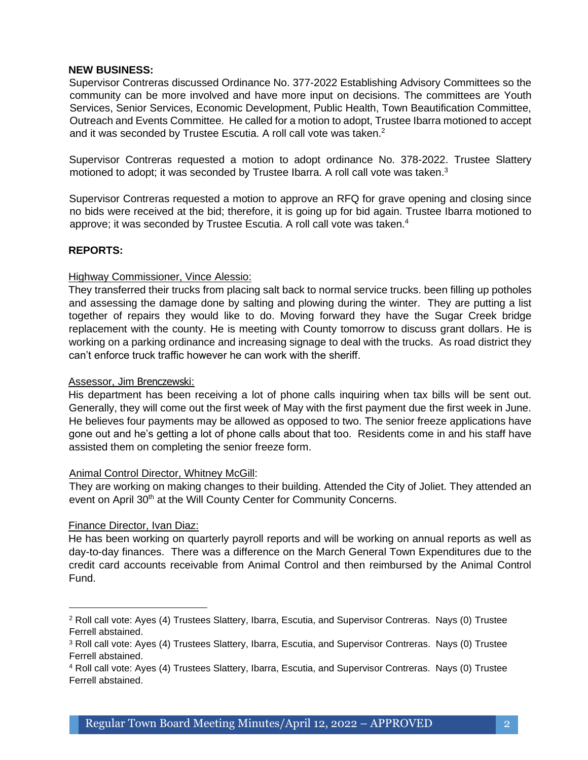### **NEW BUSINESS:**

Supervisor Contreras discussed Ordinance No. 377-2022 Establishing Advisory Committees so the community can be more involved and have more input on decisions. The committees are Youth Services, Senior Services, Economic Development, Public Health, Town Beautification Committee, Outreach and Events Committee. He called for a motion to adopt, Trustee Ibarra motioned to accept and it was seconded by Trustee Escutia. A roll call vote was taken.<sup>2</sup>

Supervisor Contreras requested a motion to adopt ordinance No. 378-2022. Trustee Slattery motioned to adopt; it was seconded by Trustee Ibarra. A roll call vote was taken.<sup>3</sup>

Supervisor Contreras requested a motion to approve an RFQ for grave opening and closing since no bids were received at the bid; therefore, it is going up for bid again. Trustee Ibarra motioned to approve; it was seconded by Trustee Escutia. A roll call vote was taken.<sup>4</sup>

### **REPORTS:**

### Highway Commissioner, Vince Alessio:

They transferred their trucks from placing salt back to normal service trucks. been filling up potholes and assessing the damage done by salting and plowing during the winter. They are putting a list together of repairs they would like to do. Moving forward they have the Sugar Creek bridge replacement with the county. He is meeting with County tomorrow to discuss grant dollars. He is working on a parking ordinance and increasing signage to deal with the trucks. As road district they can't enforce truck traffic however he can work with the sheriff.

#### Assessor, Jim Brenczewski:

His department has been receiving a lot of phone calls inquiring when tax bills will be sent out. Generally, they will come out the first week of May with the first payment due the first week in June. He believes four payments may be allowed as opposed to two. The senior freeze applications have gone out and he's getting a lot of phone calls about that too. Residents come in and his staff have assisted them on completing the senior freeze form.

#### Animal Control Director, Whitney McGill:

They are working on making changes to their building. Attended the City of Joliet. They attended an event on April 30<sup>th</sup> at the Will County Center for Community Concerns.

# Finance Director, Ivan Diaz:

He has been working on quarterly payroll reports and will be working on annual reports as well as day-to-day finances. There was a difference on the March General Town Expenditures due to the credit card accounts receivable from Animal Control and then reimbursed by the Animal Control Fund.

<sup>2</sup> Roll call vote: Ayes (4) Trustees Slattery, Ibarra, Escutia, and Supervisor Contreras. Nays (0) Trustee Ferrell abstained.

<sup>3</sup> Roll call vote: Ayes (4) Trustees Slattery, Ibarra, Escutia, and Supervisor Contreras. Nays (0) Trustee Ferrell abstained.

<sup>&</sup>lt;sup>4</sup> Roll call vote: Ayes (4) Trustees Slattery, Ibarra, Escutia, and Supervisor Contreras. Nays (0) Trustee<br>-Ferrell abstained.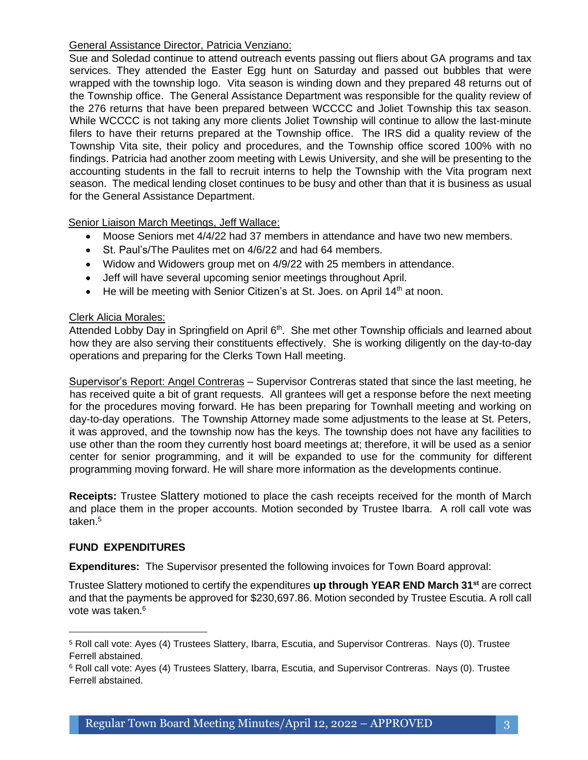# General Assistance Director, Patricia Venziano:

Sue and Soledad continue to attend outreach events passing out fliers about GA programs and tax services. They attended the Easter Egg hunt on Saturday and passed out bubbles that were wrapped with the township logo. Vita season is winding down and they prepared 48 returns out of the Township office. The General Assistance Department was responsible for the quality review of the 276 returns that have been prepared between WCCCC and Joliet Township this tax season. While WCCCC is not taking any more clients Joliet Township will continue to allow the last-minute filers to have their returns prepared at the Township office. The IRS did a quality review of the Township Vita site, their policy and procedures, and the Township office scored 100% with no findings. Patricia had another zoom meeting with Lewis University, and she will be presenting to the accounting students in the fall to recruit interns to help the Township with the Vita program next season. The medical lending closet continues to be busy and other than that it is business as usual for the General Assistance Department.

Senior Liaison March Meetings, Jeff Wallace:

- Moose Seniors met 4/4/22 had 37 members in attendance and have two new members.
- St. Paul's/The Paulites met on 4/6/22 and had 64 members.
- Widow and Widowers group met on 4/9/22 with 25 members in attendance.
- Jeff will have several upcoming senior meetings throughout April.
- He will be meeting with Senior Citizen's at St. Joes. on April 14<sup>th</sup> at noon.

### Clerk Alicia Morales:

Attended Lobby Day in Springfield on April 6<sup>th</sup>. She met other Township officials and learned about how they are also serving their constituents effectively. She is working diligently on the day-to-day operations and preparing for the Clerks Town Hall meeting.

Supervisor's Report: Angel Contreras – Supervisor Contreras stated that since the last meeting, he has received quite a bit of grant requests. All grantees will get a response before the next meeting for the procedures moving forward. He has been preparing for Townhall meeting and working on day-to-day operations. The Township Attorney made some adjustments to the lease at St. Peters, it was approved, and the township now has the keys. The township does not have any facilities to use other than the room they currently host board meetings at; therefore, it will be used as a senior center for senior programming, and it will be expanded to use for the community for different programming moving forward. He will share more information as the developments continue.

**Receipts:** Trustee Slattery motioned to place the cash receipts received for the month of March and place them in the proper accounts. Motion seconded by Trustee Ibarra. A roll call vote was taken.<sup>5</sup>

# **FUND EXPENDITURES**

**Expenditures:** The Supervisor presented the following invoices for Town Board approval:

Trustee Slattery motioned to certify the expenditures **up through YEAR END March 31st** are correct and that the payments be approved for \$230,697.86. Motion seconded by Trustee Escutia. A roll call vote was taken.<sup>6</sup>

<sup>5</sup> Roll call vote: Ayes (4) Trustees Slattery, Ibarra, Escutia, and Supervisor Contreras. Nays (0). Trustee Ferrell abstained.

 $^6$  Roll call vote: Ayes (4) Trustees Slattery, Ibarra, Escutia, and Supervisor Contreras. Nays (0). Trustee<br>— Ferrell abstained.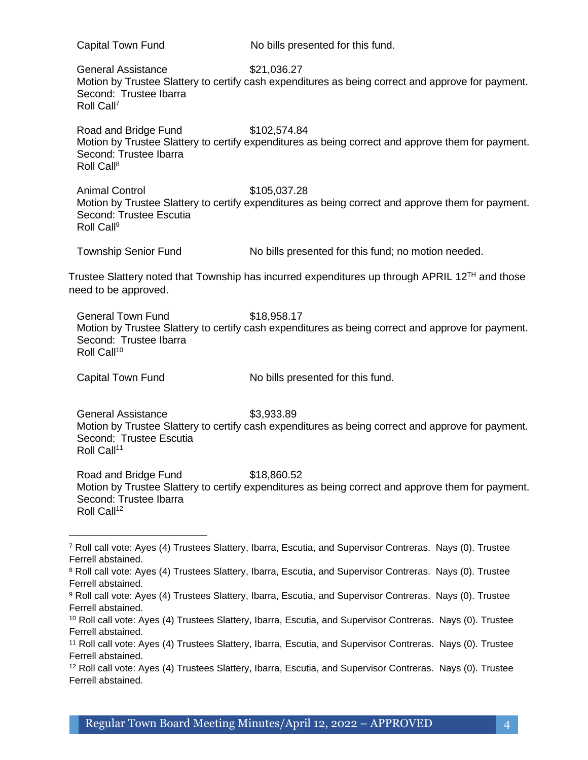Capital Town Fund No bills presented for this fund. General Assistance \$21,036.27 Motion by Trustee Slattery to certify cash expenditures as being correct and approve for payment. Second: Trustee Ibarra Roll Call<sup>7</sup> Road and Bridge Fund \$102,574.84 Motion by Trustee Slattery to certify expenditures as being correct and approve them for payment. Second: Trustee Ibarra Roll Call<sup>8</sup> Animal Control **\$105,037.28** Motion by Trustee Slattery to certify expenditures as being correct and approve them for payment. Second: Trustee Escutia Roll Call<sup>9</sup> Township Senior Fund No bills presented for this fund; no motion needed. Trustee Slattery noted that Township has incurred expenditures up through APRIL  $12^{TH}$  and those need to be approved. General Town Fund \$18,958.17 Motion by Trustee Slattery to certify cash expenditures as being correct and approve for payment. Second: Trustee Ibarra Roll Call<sup>10</sup> Capital Town Fund No bills presented for this fund. General Assistance \$3,933.89 Motion by Trustee Slattery to certify cash expenditures as being correct and approve for payment. Second: Trustee Escutia Roll Call<sup>11</sup> Road and Bridge Fund \$18,860.52 Motion by Trustee Slattery to certify expenditures as being correct and approve them for payment. Second: Trustee Ibarra Roll Call<sup>12</sup> <sup>7</sup> Roll call vote: Ayes (4) Trustees Slattery, Ibarra, Escutia, and Supervisor Contreras. Nays (0). Trustee Ferrell abstained. <sup>8</sup> Roll call vote: Ayes (4) Trustees Slattery, Ibarra, Escutia, and Supervisor Contreras. Nays (0). Trustee

Ferrell abstained.

<sup>9</sup> Roll call vote: Ayes (4) Trustees Slattery, Ibarra, Escutia, and Supervisor Contreras. Nays (0). Trustee Ferrell abstained.

<sup>10</sup> Roll call vote: Ayes (4) Trustees Slattery, Ibarra, Escutia, and Supervisor Contreras. Nays (0). Trustee Ferrell abstained.

<sup>11</sup> Roll call vote: Ayes (4) Trustees Slattery, Ibarra, Escutia, and Supervisor Contreras. Nays (0). Trustee Ferrell abstained.

<sup>&</sup>lt;sup>12</sup> Roll call vote: Ayes (4) Trustees Slattery, Ibarra, Escutia, and Supervisor Contreras. Nays (0). Trustee Ferrell abstained.